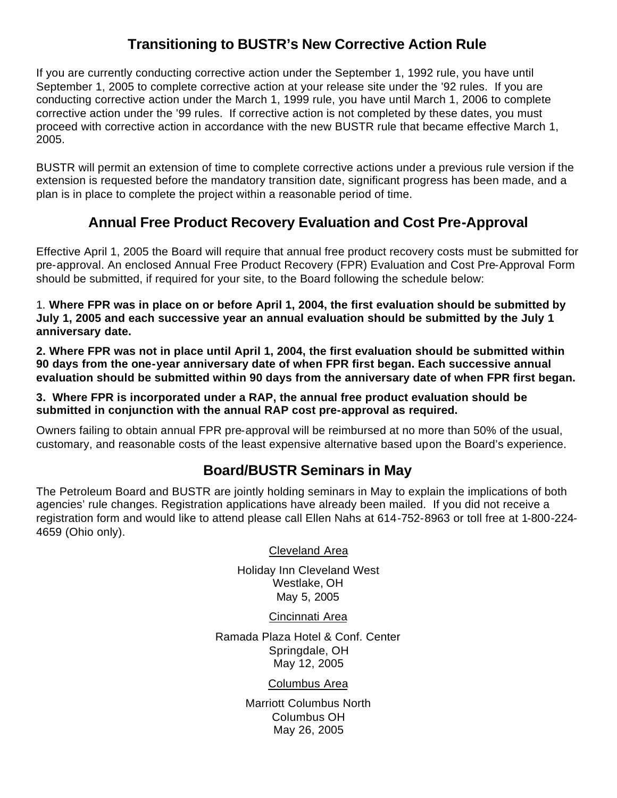## **Transitioning to BUSTR's New Corrective Action Rule**

If you are currently conducting corrective action under the September 1, 1992 rule, you have until September 1, 2005 to complete corrective action at your release site under the '92 rules. If you are conducting corrective action under the March 1, 1999 rule, you have until March 1, 2006 to complete corrective action under the '99 rules. If corrective action is not completed by these dates, you must proceed with corrective action in accordance with the new BUSTR rule that became effective March 1, 2005.

BUSTR will permit an extension of time to complete corrective actions under a previous rule version if the extension is requested before the mandatory transition date, significant progress has been made, and a plan is in place to complete the project within a reasonable period of time.

## **Annual Free Product Recovery Evaluation and Cost Pre-Approval**

Effective April 1, 2005 the Board will require that annual free product recovery costs must be submitted for pre-approval. An enclosed Annual Free Product Recovery (FPR) Evaluation and Cost Pre-Approval Form should be submitted, if required for your site, to the Board following the schedule below:

1. **Where FPR was in place on or before April 1, 2004, the first evaluation should be submitted by July 1, 2005 and each successive year an annual evaluation should be submitted by the July 1 anniversary date.**

**2. Where FPR was not in place until April 1, 2004, the first evaluation should be submitted within 90 days from the one-year anniversary date of when FPR first began. Each successive annual evaluation should be submitted within 90 days from the anniversary date of when FPR first began.**

**3. Where FPR is incorporated under a RAP, the annual free product evaluation should be submitted in conjunction with the annual RAP cost pre-approval as required.**

Owners failing to obtain annual FPR pre-approval will be reimbursed at no more than 50% of the usual, customary, and reasonable costs of the least expensive alternative based upon the Board's experience.

## **Board/BUSTR Seminars in May**

The Petroleum Board and BUSTR are jointly holding seminars in May to explain the implications of both agencies' rule changes. Registration applications have already been mailed. If you did not receive a registration form and would like to attend please call Ellen Nahs at 614-752-8963 or toll free at 1-800-224- 4659 (Ohio only).

Cleveland Area

Holiday Inn Cleveland West Westlake, OH May 5, 2005

Cincinnati Area

Ramada Plaza Hotel & Conf. Center Springdale, OH May 12, 2005

Columbus Area

Marriott Columbus North Columbus OH May 26, 2005